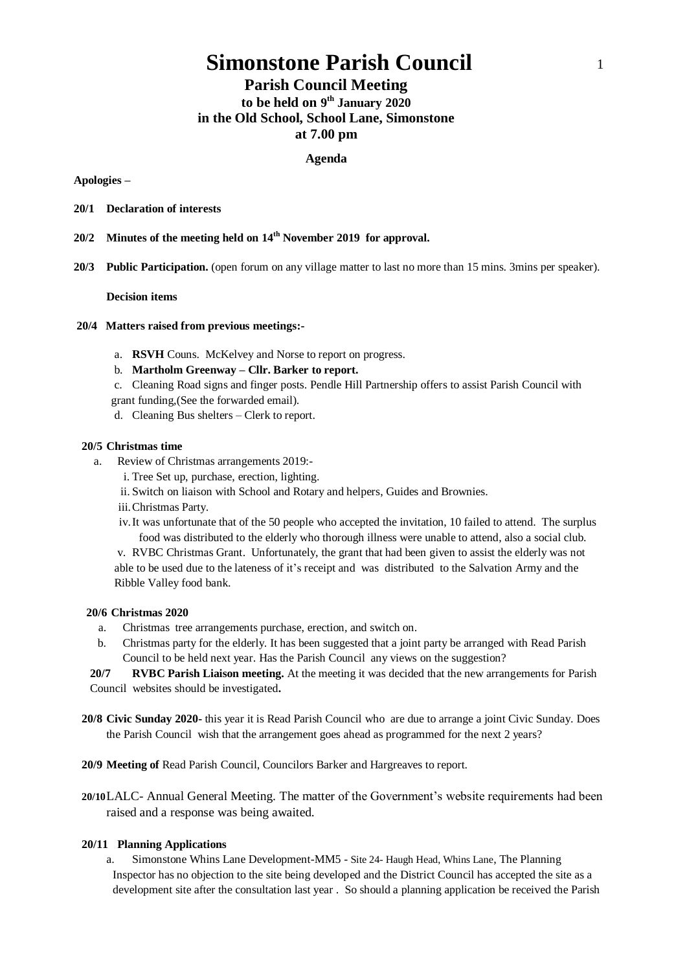# **Simonstone Parish Council** 1

# **Parish Council Meeting to be held on 9 th January 2020 in the Old School, School Lane, Simonstone at 7.00 pm**

#### **Agenda**

#### **Apologies –**

- **20/1 Declaration of interests**
- **20/2 Minutes of the meeting held on 14th November 2019 for approval.**
- **20/3 Public Participation.** (open forum on any village matter to last no more than 15 mins. 3mins per speaker).

#### **Decision items**

- **20/4 Matters raised from previous meetings:**
	- a. **RSVH** Couns. McKelvey and Norse to report on progress.
	- b. **Martholm Greenway – Cllr. Barker to report.**
	- c. Cleaning Road signs and finger posts. Pendle Hill Partnership offers to assist Parish Council with
	- grant funding,(See the forwarded email).
	- d. Cleaning Bus shelters Clerk to report.

### **20/5 Christmas time**

- a. Review of Christmas arrangements 2019:
	- i. Tree Set up, purchase, erection, lighting.
	- ii. Switch on liaison with School and Rotary and helpers, Guides and Brownies.
	- iii.Christmas Party.
	- iv.It was unfortunate that of the 50 people who accepted the invitation, 10 failed to attend. The surplus food was distributed to the elderly who thorough illness were unable to attend, also a social club.

v. RVBC Christmas Grant. Unfortunately, the grant that had been given to assist the elderly was not able to be used due to the lateness of it's receipt and was distributed to the Salvation Army and the Ribble Valley food bank.

#### **20/6 Christmas 2020**

- a. Christmas tree arrangements purchase, erection, and switch on.
- b. Christmas party for the elderly. It has been suggested that a joint party be arranged with Read Parish Council to be held next year. Has the Parish Council any views on the suggestion?

**20/7 RVBC Parish Liaison meeting.** At the meeting it was decided that the new arrangements for Parish Council websites should be investigated**.**

- **20/8 Civic Sunday 2020-** this year it is Read Parish Council who are due to arrange a joint Civic Sunday. Does the Parish Council wish that the arrangement goes ahead as programmed for the next 2 years?
- **20/9 Meeting of** Read Parish Council, Councilors Barker and Hargreaves to report.
- **20/10**LALC- Annual General Meeting. The matter of the Government's website requirements had been raised and a response was being awaited.

#### **20/11 Planning Applications**

a. Simonstone Whins Lane Development-MM5 - Site 24- Haugh Head, Whins Lane, The Planning Inspector has no objection to the site being developed and the District Council has accepted the site as a development site after the consultation last year . So should a planning application be received the Parish